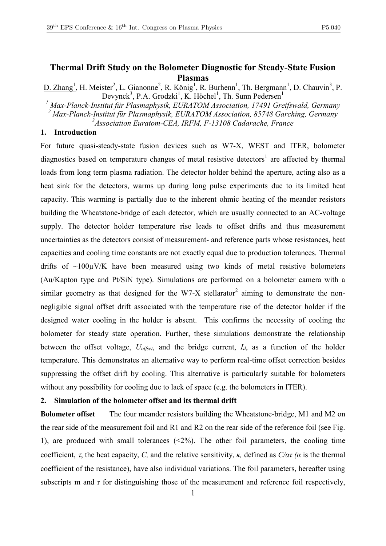# **Thermal Drift Study on the Bolometer Diagnostic for Steady-State Fusion Plasmas**

D. Zhang<sup>1</sup>, H. Meister<sup>2</sup>, L. Gianonne<sup>2</sup>, R. König<sup>1</sup>, R. Burhenn<sup>1</sup>, Th. Bergmann<sup>1</sup>, D. Chauvin<sup>3</sup>, P. Devynck<sup>3</sup>, P.A. Grodzki<sup>1</sup>, K. Höchel<sup>1</sup>, Th. Sunn Pedersen<sup>1</sup>

*<sup>1</sup> Max-Planck-Institut für Plasmaphysik, EURATOM Association, 17491 Greifswald, Germany <sup>2</sup> Max-Planck-Institut für Plasmaphysik, EURATOM Association, 85748 Garching, Germany*

*3 Association Euratom-CEA, IRFM, F-13108 Cadarache, France*

## **1. Introduction**

For future quasi-steady-state fusion devices such as W7-X, WEST and ITER, bolometer diagnostics based on temperature changes of metal resistive detectors<sup>1</sup> are affected by thermal loads from long term plasma radiation. The detector holder behind the aperture, acting also as a heat sink for the detectors, warms up during long pulse experiments due to its limited heat capacity. This warming is partially due to the inherent ohmic heating of the meander resistors building the Wheatstone-bridge of each detector, which are usually connected to an AC-voltage supply. The detector holder temperature rise leads to offset drifts and thus measurement uncertainties as the detectors consist of measurement- and reference parts whose resistances, heat capacities and cooling time constants are not exactly equal due to production tolerances. Thermal drifts of  $\sim$ 100 $\mu$ V/K have been measured using two kinds of metal resistive bolometers (Au/Kapton type and Pt/SiN type). Simulations are performed on a bolometer camera with a similar geometry as that designed for the W7-X stellarator<sup>2</sup> aiming to demonstrate the nonnegligible signal offset drift associated with the temperature rise of the detector holder if the designed water cooling in the holder is absent. This confirms the necessity of cooling the bolometer for steady state operation. Further, these simulations demonstrate the relationship between the offset voltage, *Uoffset*, and the bridge current, *Id*, as a function of the holder temperature. This demonstrates an alternative way to perform real-time offset correction besides suppressing the offset drift by cooling. This alternative is particularly suitable for bolometers without any possibility for cooling due to lack of space (e.g. the bolometers in ITER).

#### **2. Simulation of the bolometer offset and its thermal drift**

**Bolometer offset** The four meander resistors building the Wheatstone-bridge, M1 and M2 on the rear side of the measurement foil and  $R1$  and  $R2$  on the rear side of the reference foil (see Fig. 1), are produced with small tolerances  $(\leq 2\%)$ . The other foil parameters, the cooling time coefficient,  $\tau$ , the heat capacity, *C*, and the relative sensitivity, *κ*, defined as  $C/\alpha\tau$  ( $\alpha$  is the thermal coefficient of the resistance), have also individual variations. The foil parameters, hereafter using subscripts m and r for distinguishing those of the measurement and reference foil respectively,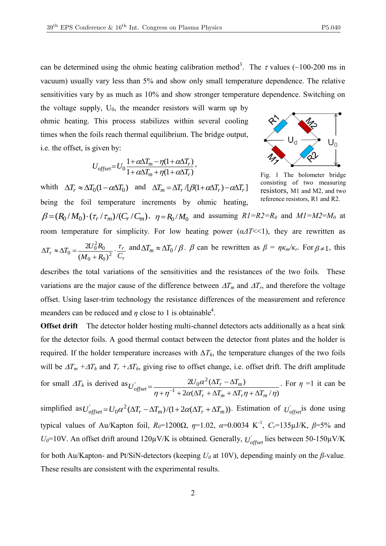can be determined using the ohmic heating calibration method<sup>3</sup>. The  $\tau$  values (~100-200 ms in vacuum) usually vary less than 5% and show only small temperature dependence. The relative sensitivities vary by as much as 10% and show stronger temperature dependence. Switching on

the voltage supply,  $U_0$ , the meander resistors will warm up by ohmic heating. This process stabilizes within several cooling times when the foils reach thermal equilibrium. The bridge output, i.e. the offset, is given by:

$$
U_{offset} = U_0 \frac{1 + \alpha \Delta T_m - \eta (1 + \alpha \Delta T_r)}{1 + \alpha \Delta T_m + \eta (1 + \alpha \Delta T_r)},
$$



Fig. 1 The bolometer bridge consisting of two measuring resistors, M1 and M2, and two reference resistors, R1 and R2.

whith  $\Delta T_r \approx \Delta T_0 (1 - \alpha \Delta T_0)$  and  $\Delta T_m = \Delta T_r / [\beta (1 + \alpha \Delta T_r) - \alpha \Delta T_r]$ being the foil temperature increments by ohmic heating,  $\beta = (R_0/M_0) \cdot (\tau_r/\tau_m)/(C_r/C_m)$ ,  $\eta = R_0/M_0$  and assuming  $RI = R2 = R_0$  and  $MI = M2 = M_0$  at room temperature for simplicity. For low heating power  $(a\Delta T \ll 1)$ , they are rewritten as  $(M_0 + R_0)$  $\mathfrak{A}$  $(0 + R_0)^2$  $v_0 = \frac{2U_0^2 R_0}{(M - R)}$ *r*  $T_r \approx \Delta T_0 = \frac{2U_0 R_0}{(M_0 + R_0)^2} \cdot \frac{\tau_r}{C_r}$  $T_r \approx \Delta T_0 = \frac{2U_0^2 R_0}{r^2} \cdot \frac{\tau}{c}$  $^{+}$  $\Delta T_r \approx \Delta T_0 = \frac{2U_0^2 R_0}{r^2} \cdot \frac{\tau_r}{T}$  and  $\Delta T_m \approx \Delta T_0 / \beta$ .  $\beta$  can be rewritten as  $\beta = \eta \kappa_m / \kappa_r$ . For  $\beta \neq 1$ , this

describes the total variations of the sensitivities and the resistances of the two foils. These variations are the major cause of the difference between  $\Delta T_m$  and  $\Delta T_r$ , and therefore the voltage offset. Using laser-trim technology the resistance differences of the measurement and reference meanders can be reduced and  $\eta$  close to 1 is obtainable<sup>4</sup>.

**Offset drift** The detector holder hosting multi-channel detectors acts additionally as a heat sink for the detector foils. A good thermal contact between the detector front plates and the holder is required. If the holder temperature increases with  $\Delta T_h$ , the temperature changes of the two foils will be  $\Delta T_m + \Delta T_h$  and  $T_r + \Delta T_h$ , giving rise to offset change, i.e. offset drift. The drift amplitude for small  $\Delta T_h$  is derived as  $2\alpha(\Delta T_r + \Delta T_m + \Delta T_r \eta + \Delta T_m / \eta)$  $2U_0 \alpha^2 (\Delta T_r - \Delta T_m)$ 1  $\frac{2U_0\alpha^2}{\sigma^2}$  $\eta + \eta$  +  $2\alpha(\Delta I_r + \Delta I_m + \Delta I_r \eta + \Delta I_m / \eta)$  $\alpha$  $r + \Delta I_m + \Delta I_r \eta + \Delta I_m$  $\frac{2U_0\alpha}{\eta + \eta^{-1} + 2\alpha(\Delta T_r + \Delta T_m + \Delta T_r\eta + \Delta T_r)}$  $U_{offset}^{'} = \frac{2U_0\alpha^2(\Delta T_r - \Delta T_r)}{T}$  $+\eta^{-1}+2\alpha(\Delta T_r+\Delta T_m+\Delta T_r\eta+\Delta T_r)$  $=\frac{2U_0\alpha^2(\Delta T_r-\Delta)}{n+r^{-1}+2\alpha(\Delta T_r+\Delta T_r+\Delta T_r)}$ . For  $\eta = 1$  it can be

simplified as  $U_{offset} = U_0 \alpha^2 (\Delta T_r - \Delta T_m)/(1 + 2\alpha(\Delta T_r + \Delta T_m))$ . Estimation of  $U_{offset}$  is done using typical values of Au/Kapton foil,  $R_0$ =1200 $\Omega$ ,  $\eta$ =1.02,  $\alpha$ =0.0034 K<sup>-1</sup>,  $C_r$ =135 $\mu$ J/K,  $\beta$ =5% and  $U_0$ =10V. An offset drift around 120 $\mu$ V/K is obtained. Generally,  $U_{offset}$  lies between 50-150 $\mu$ V/K for both Au/Kapton- and Pt/SiN-detectors (keeping *U<sup>0</sup>* at 10V), depending mainly on the *β*-value*.*  These results are consistent with the experimental results.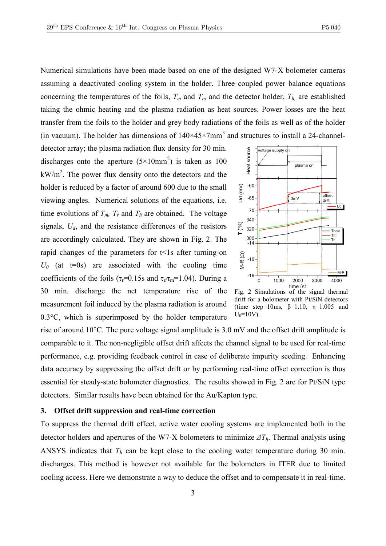Numerical simulations have been made based on one of the designed W7-X bolometer cameras assuming a deactivated cooling system in the holder. Three coupled power balance equations concerning the temperatures of the foils,  $T_m$  and  $T_r$ , and the detector holder,  $T_h$  are established taking the ohmic heating and the plasma radiation as heat sources. Power losses are the heat transfer from the foils to the holder and grey body radiations of the foils as well as of the holder (in vacuum). The holder has dimensions of  $140 \times 45 \times 7$  mm<sup>3</sup> and structures to install a 24-channel-

detector array; the plasma radiation flux density for 30 min. discharges onto the aperture  $(5\times10mm^2)$  is taken as 100  $kW/m<sup>2</sup>$ . The power flux density onto the detectors and the holder is reduced by a factor of around 600 due to the small viewing angles. Numerical solutions of the equations, i.e. time evolutions of  $T_m$ ,  $T_r$  and  $T_h$  are obtained. The voltage signals, *Ud*, and the resistance differences of the resistors are accordingly calculated. They are shown in Fig. 2. The rapid changes of the parameters for  $t < 1$ s after turning-on  $U_0$  (at t=0s) are associated with the cooling time coefficients of the foils ( $\tau_r$ =0.15s and  $\tau_r/\tau_m$ =1.04). During a 30 min. discharge the net temperature rise of the measurement foil induced by the plasma radiation is around 0.3°C, which is superimposed by the holder temperature



Fig. 2 Simulations of the signal thermal drift for a bolometer with Pt/SiN detectors (time step=10ms,  $\beta$ =1.10,  $\eta$ =1.005 and  $U_0 = 10V$ ).

rise of around 10°C. The pure voltage signal amplitude is 3.0 mV and the offset drift amplitude is comparable to it. The non-negligible offset drift affects the channel signal to be used for real-time performance, e.g. providing feedback control in case of deliberate impurity seeding. Enhancing data accuracy by suppressing the offset drift or by performing real-time offset correction is thus essential for steady-state bolometer diagnostics. The results showed in Fig. 2 are for Pt/SiN type detectors. Similar results have been obtained for the Au/Kapton type.

#### **3. Offset drift suppression and real-time correction**

To suppress the thermal drift effect, active water cooling systems are implemented both in the detector holders and apertures of the W7-X bolometers to minimize *ΔTh*. Thermal analysis using ANSYS indicates that  $T_h$  can be kept close to the cooling water temperature during 30 min. discharges. This method is however not available for the bolometers in ITER due to limited cooling access. Here we demonstrate a way to deduce the offset and to compensate it in real-time.